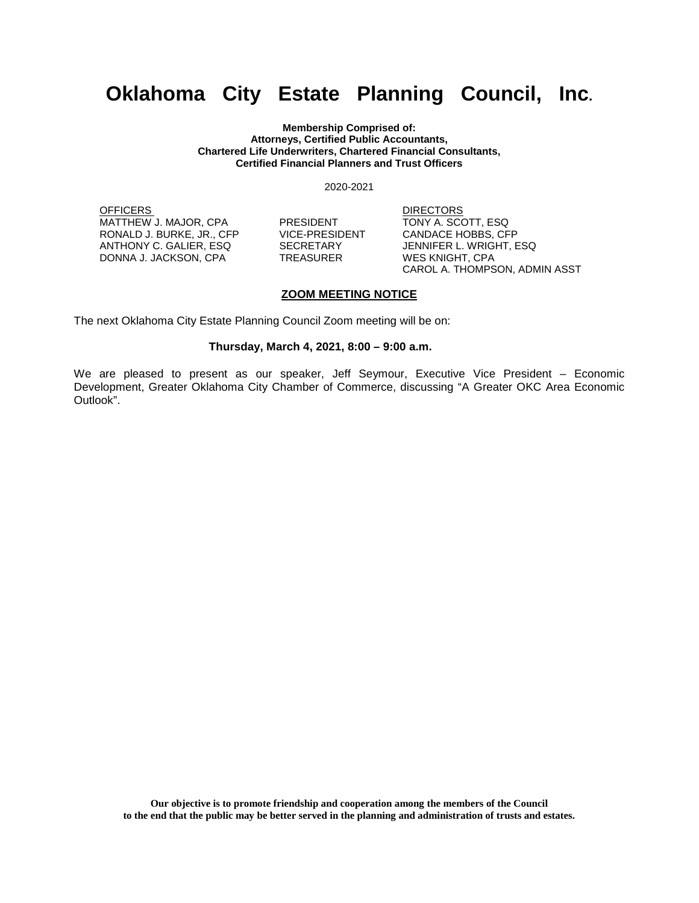## **Oklahoma City Estate Planning Council, Inc.**

**Membership Comprised of: Attorneys, Certified Public Accountants, Chartered Life Underwriters, Chartered Financial Consultants, Certified Financial Planners and Trust Officers**

2020-2021

OFFICERS DIRECTORS MATTHEW J. MAJOR, CPA PRESIDENT TONY A. SCOTT, ESQ<br>RONALD J. BURKE, JR., CFP VICE-PRESIDENT CANDACE HOBBS, CFP RONALD J. BURKE, JR., CFP VICE-PRESIDENT<br>ANTHONY C. GALIER, ESQ SECRETARY ANTHONY C. GALIER, ESQ SECRETARY JENNIFER L. WRIGHT, ESQ DONNA J. JACKSON, CPA TREASURER WES KNIGHT, CPA

CAROL A. THOMPSON, ADMIN ASST

## **ZOOM MEETING NOTICE**

The next Oklahoma City Estate Planning Council Zoom meeting will be on:

## **Thursday, March 4, 2021, 8:00 – 9:00 a.m.**

We are pleased to present as our speaker, Jeff Seymour, Executive Vice President – Economic Development, Greater Oklahoma City Chamber of Commerce, discussing "A Greater OKC Area Economic Outlook".